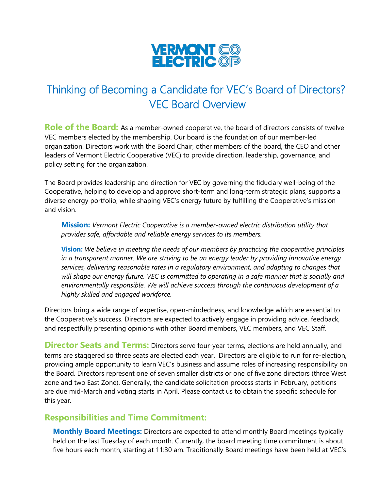

## Thinking of Becoming a Candidate for VEC's Board of Directors? VEC Board Overview

**Role of the Board:** As a member-owned cooperative, the board of directors consists of twelve VEC members elected by the membership. Our board is the foundation of our member-led organization. Directors work with the Board Chair, other members of the board, the CEO and other leaders of Vermont Electric Cooperative (VEC) to provide direction, leadership, governance, and policy setting for the organization.

The Board provides leadership and direction for VEC by governing the fiduciary well-being of the Cooperative, helping to develop and approve short-term and long-term strategic plans, supports a diverse energy portfolio, while shaping VEC's energy future by fulfilling the Cooperative's mission and vision.

**Mission:** *Vermont Electric Cooperative is a member-owned electric distribution utility that provides safe, affordable and reliable energy services to its members.*

**Vision:** *We believe in meeting the needs of our members by practicing the cooperative principles in a transparent manner. We are striving to be an energy leader by providing innovative energy services, delivering reasonable rates in a regulatory environment, and adapting to changes that*  will shape our energy future. VEC is committed to operating in a safe manner that is socially and *environmentally responsible. We will achieve success through the continuous development of a highly skilled and engaged workforce.*

Directors bring a wide range of expertise, open-mindedness, and knowledge which are essential to the Cooperative's success. Directors are expected to actively engage in providing advice, feedback, and respectfully presenting opinions with other Board members, VEC members, and VEC Staff.

**Director Seats and Terms:** Directors serve four-year terms, elections are held annually, and terms are staggered so three seats are elected each year. Directors are eligible to run for re-election, providing ample opportunity to learn VEC's business and assume roles of increasing responsibility on the Board. Directors represent one of seven smaller districts or one of five zone directors (three West zone and two East Zone). Generally, the candidate solicitation process starts in February, petitions are due mid-March and voting starts in April. Please contact us to obtain the specific schedule for this year.

## **Responsibilities and Time Commitment:**

**Monthly Board Meetings:** Directors are expected to attend monthly Board meetings typically held on the last Tuesday of each month. Currently, the board meeting time commitment is about five hours each month, starting at 11:30 am. Traditionally Board meetings have been held at VEC's